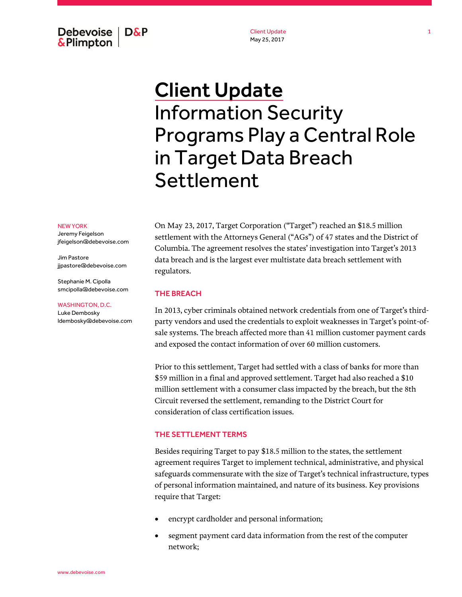Debevoise  $\overline{ }$  D&P **&Plimpton** 

Client Update May 25, 2017

# Client Update Information Security Programs Play a Central Role in Target Data Breach Settlement

#### NEW YORK

Jeremy Feigelson jfeigelson@debevoise.com

Jim Pastore jjpastore@debevoise.com

Stephanie M. Cipolla smcipolla@debevoise.com

#### WASHINGTON, D.C.

Luke Dembosky ldembosky@debevoise.com On May 23, 2017, Target Corporation ("Target") reached an \$18.5 million settlement with the Attorneys General ("AGs") of 47 states and the District of Columbia. The agreement resolves the states' investigation into Target's 2013 data breach and is the largest ever multistate data breach settlement with regulators.

## THE BREACH

In 2013, cyber criminals obtained network credentials from one of Target's thirdparty vendors and used the credentials to exploit weaknesses in Target's point-ofsale systems. The breach affected more than 41 million customer payment cards and exposed the contact information of over 60 million customers.

Prior to this settlement, Target had settled with a class of banks for more than \$59 million in a final and approved settlement. Target had also reached a \$10 million settlement with a consumer class impacted by the breach, but the 8th Circuit reversed the settlement, remanding to the District Court for consideration of class certification issues.

### THE SETTLEMENT TERMS

Besides requiring Target to pay \$18.5 million to the states, the settlement agreement requires Target to implement technical, administrative, and physical safeguards commensurate with the size of Target's technical infrastructure, types of personal information maintained, and nature of its business. Key provisions require that Target:

- encrypt cardholder and personal information;
- segment payment card data information from the rest of the computer network;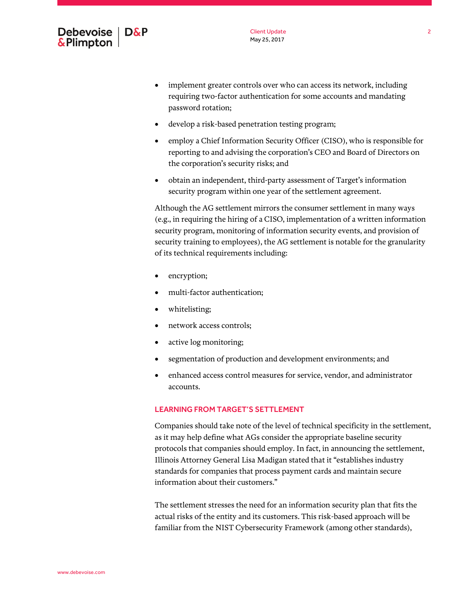

- implement greater controls over who can access its network, including requiring two-factor authentication for some accounts and mandating password rotation;
- develop a risk-based penetration testing program;
- employ a Chief Information Security Officer (CISO), who is responsible for reporting to and advising the corporation's CEO and Board of Directors on the corporation's security risks; and
- obtain an independent, third-party assessment of Target's information security program within one year of the settlement agreement.

Although the AG settlement mirrors the consumer settlement in many ways (e.g., in requiring the hiring of a CISO, implementation of a written information security program, monitoring of information security events, and provision of security training to employees), the AG settlement is notable for the granularity of its technical requirements including:

- encryption;
- multi-factor authentication;
- whitelisting;
- network access controls;
- active log monitoring;
- segmentation of production and development environments; and
- enhanced access control measures for service, vendor, and administrator accounts.

## LEARNING FROM TARGET'S SETTLEMENT

Companies should take note of the level of technical specificity in the settlement, as it may help define what AGs consider the appropriate baseline security protocols that companies should employ. In fact, in announcing the settlement, Illinois Attorney General Lisa Madigan stated that it "establishes industry standards for companies that process payment cards and maintain secure information about their customers."

The settlement stresses the need for an information security plan that fits the actual risks of the entity and its customers. This risk-based approach will be familiar from the NIST Cybersecurity Framework (among other standards),